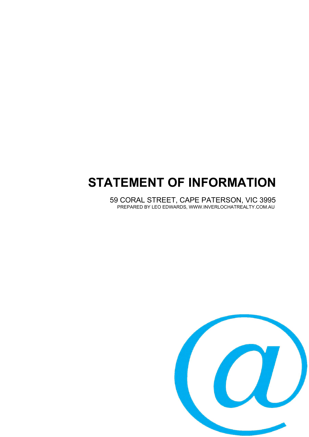# **STATEMENT OF INFORMATION**

59 CORAL STREET, CAPE PATERSON, VIC 3995 PREPARED BY LEO EDWARDS, WWW.INVERLOCHATREALTY.COM.AU